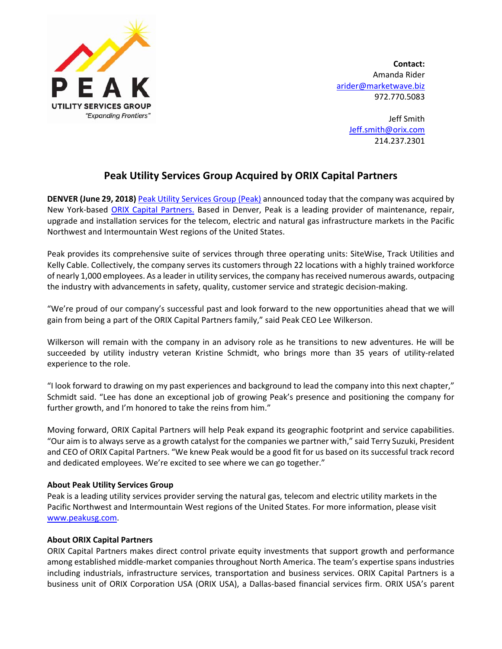

**Contact:** Amanda Rider arider@marketwave.biz 972.770.5083

> Jeff Smith Jeff.smith@orix.com 214.237.2301

## **Peak Utility Services Group Acquired by ORIX Capital Partners**

**DENVER (June 29, 2018)** Peak Utility Services Group (Peak) announced today that the company was acquired by New York‐based ORIX Capital Partners. Based in Denver, Peak is a leading provider of maintenance, repair, upgrade and installation services for the telecom, electric and natural gas infrastructure markets in the Pacific Northwest and Intermountain West regions of the United States.

Peak provides its comprehensive suite of services through three operating units: SiteWise, Track Utilities and Kelly Cable. Collectively, the company serves its customers through 22 locations with a highly trained workforce of nearly 1,000 employees. As a leader in utility services, the company hasreceived numerous awards, outpacing the industry with advancements in safety, quality, customer service and strategic decision‐making.

"We're proud of our company's successful past and look forward to the new opportunities ahead that we will gain from being a part of the ORIX Capital Partners family," said Peak CEO Lee Wilkerson.

Wilkerson will remain with the company in an advisory role as he transitions to new adventures. He will be succeeded by utility industry veteran Kristine Schmidt, who brings more than 35 years of utility-related experience to the role.

"I look forward to drawing on my past experiences and background to lead the company into this next chapter," Schmidt said. "Lee has done an exceptional job of growing Peak's presence and positioning the company for further growth, and I'm honored to take the reins from him."

Moving forward, ORIX Capital Partners will help Peak expand its geographic footprint and service capabilities. "Our aim is to always serve as a growth catalyst for the companies we partner with," said Terry Suzuki, President and CEO of ORIX Capital Partners. "We knew Peak would be a good fit for us based on its successful track record and dedicated employees. We're excited to see where we can go together."

## **About Peak Utility Services Group**

Peak is a leading utility services provider serving the natural gas, telecom and electric utility markets in the Pacific Northwest and Intermountain West regions of the United States. For more information, please visit www.peakusg.com.

## **About ORIX Capital Partners**

ORIX Capital Partners makes direct control private equity investments that support growth and performance among established middle‐market companies throughout North America. The team's expertise spans industries including industrials, infrastructure services, transportation and business services. ORIX Capital Partners is a business unit of ORIX Corporation USA (ORIX USA), a Dallas‐based financial services firm. ORIX USA's parent